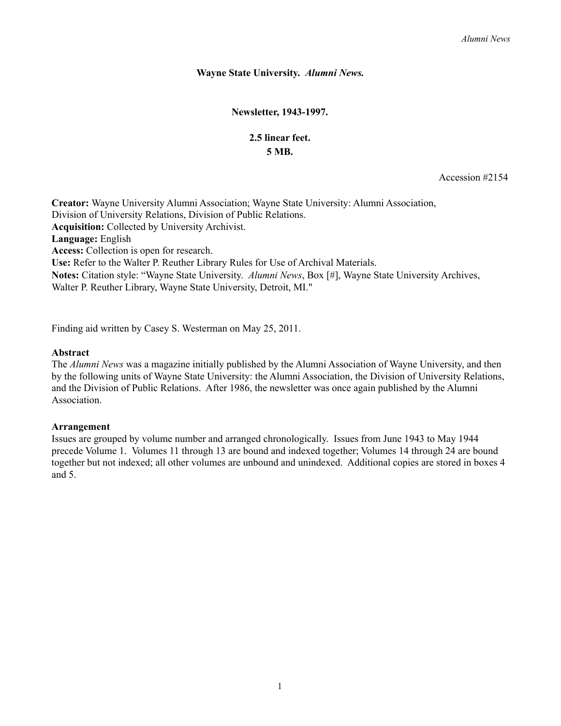## **Wayne State University.** *Alumni News.*

**Newsletter, 1943-1997.**

## **2.5 linear feet. 5 MB.**

Accession #2154

**Acquisition:** Collected by University Archivist. **Language:** English **Access:** Collection is open for research. **Creator:** Wayne University Alumni Association; Wayne State University: Alumni Association, Division of University Relations, Division of Public Relations. **Use:** Refer to the Walter P. Reuther Library Rules for Use of Archival Materials. **Notes:** Citation style: "Wayne State University. *Alumni News*, Box [#], Wayne State University Archives, Walter P. Reuther Library, Wayne State University, Detroit, MI."

Finding aid written by Casey S. Westerman on May 25, 2011.

## **Abstract**

The *Alumni News* was a magazine initially published by the Alumni Association of Wayne University, and then by the following units of Wayne State University: the Alumni Association, the Division of University Relations, and the Division of Public Relations. After 1986, the newsletter was once again published by the Alumni **Association** 

## **Arrangement**

Issues are grouped by volume number and arranged chronologically. Issues from June 1943 to May 1944 precede Volume 1. Volumes 11 through 13 are bound and indexed together; Volumes 14 through 24 are bound together but not indexed; all other volumes are unbound and unindexed. Additional copies are stored in boxes 4 and 5.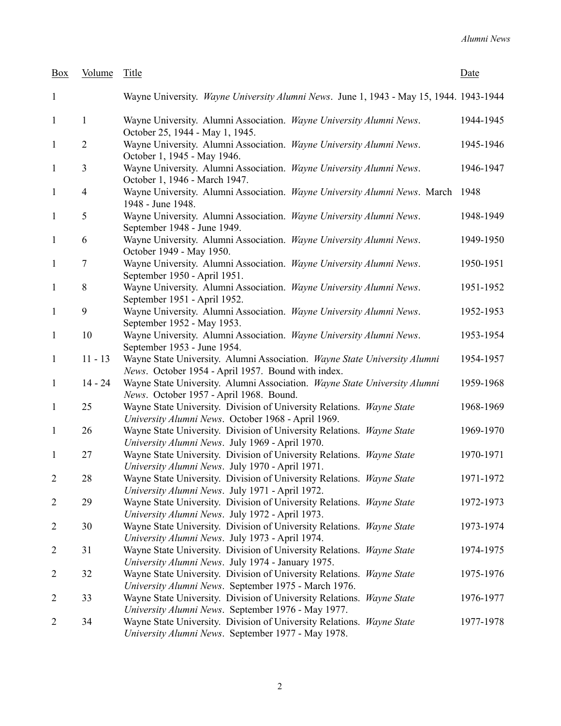| Box            | Volume         | Title                                                                                                                           | Date      |
|----------------|----------------|---------------------------------------------------------------------------------------------------------------------------------|-----------|
| $\mathbf{1}$   |                | Wayne University. Wayne University Alumni News. June 1, 1943 - May 15, 1944. 1943-1944                                          |           |
| $\mathbf{1}$   | $\mathbf{1}$   | Wayne University. Alumni Association. Wayne University Alumni News.<br>October 25, 1944 - May 1, 1945.                          | 1944-1945 |
| $\mathbf{1}$   | $\overline{2}$ | Wayne University. Alumni Association. Wayne University Alumni News.<br>October 1, 1945 - May 1946.                              | 1945-1946 |
| $\mathbf{1}$   | 3              | Wayne University. Alumni Association. Wayne University Alumni News.<br>October 1, 1946 - March 1947.                            | 1946-1947 |
| $\mathbf{1}$   | $\overline{4}$ | Wayne University. Alumni Association. Wayne University Alumni News. March 1948<br>1948 - June 1948.                             |           |
| $\mathbf{1}$   | 5              | Wayne University. Alumni Association. Wayne University Alumni News.<br>September 1948 - June 1949.                              | 1948-1949 |
| $\mathbf{1}$   | 6              | Wayne University. Alumni Association. Wayne University Alumni News.<br>October 1949 - May 1950.                                 | 1949-1950 |
| $\mathbf{1}$   | 7              | Wayne University. Alumni Association. Wayne University Alumni News.<br>September 1950 - April 1951.                             | 1950-1951 |
| $\mathbf{1}$   | 8              | Wayne University. Alumni Association. Wayne University Alumni News.<br>September 1951 - April 1952.                             | 1951-1952 |
| $\mathbf{1}$   | 9              | Wayne University. Alumni Association. Wayne University Alumni News.<br>September 1952 - May 1953.                               | 1952-1953 |
| $\mathbf{1}$   | 10             | Wayne University. Alumni Association. Wayne University Alumni News.<br>September 1953 - June 1954.                              | 1953-1954 |
| $\mathbf{1}$   | $11 - 13$      | Wayne State University. Alumni Association. Wayne State University Alumni<br>News. October 1954 - April 1957. Bound with index. | 1954-1957 |
| $\mathbf{1}$   | $14 - 24$      | Wayne State University. Alumni Association. Wayne State University Alumni<br>News. October 1957 - April 1968. Bound.            | 1959-1968 |
| $\mathbf{1}$   | 25             | Wayne State University. Division of University Relations. Wayne State<br>University Alumni News. October 1968 - April 1969.     | 1968-1969 |
| $\mathbf{1}$   | 26             | Wayne State University. Division of University Relations. Wayne State<br>University Alumni News. July 1969 - April 1970.        | 1969-1970 |
| $\mathbf{1}$   | 27             | Wayne State University. Division of University Relations. Wayne State<br>University Alumni News. July 1970 - April 1971.        | 1970-1971 |
| $\overline{2}$ | 28             | Wayne State University. Division of University Relations. Wayne State<br>University Alumni News. July 1971 - April 1972.        | 1971-1972 |
| $\overline{2}$ | 29             | Wayne State University. Division of University Relations. Wayne State<br>University Alumni News. July 1972 - April 1973.        | 1972-1973 |
| $\overline{2}$ | 30             | Wayne State University. Division of University Relations. Wayne State<br>University Alumni News. July 1973 - April 1974.        | 1973-1974 |
| $\overline{2}$ | 31             | Wayne State University. Division of University Relations. Wayne State<br>University Alumni News. July 1974 - January 1975.      | 1974-1975 |
| $\overline{2}$ | 32             | Wayne State University. Division of University Relations. Wayne State<br>University Alumni News. September 1975 - March 1976.   | 1975-1976 |
| $\overline{2}$ | 33             | Wayne State University. Division of University Relations. Wayne State<br>University Alumni News. September 1976 - May 1977.     | 1976-1977 |
| 2              | 34             | Wayne State University. Division of University Relations. Wayne State<br>University Alumni News. September 1977 - May 1978.     | 1977-1978 |